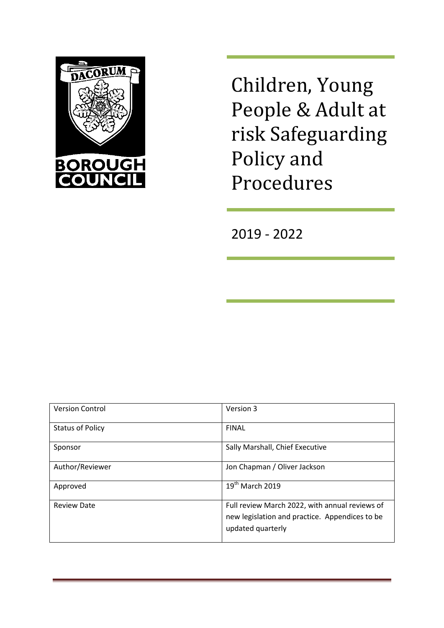

Children, Young People & Adult at risk Safeguarding Policy and Procedures

2019 - 2022

| <b>Version Control</b>  | Version 3                                                                                                             |
|-------------------------|-----------------------------------------------------------------------------------------------------------------------|
| <b>Status of Policy</b> | <b>FINAL</b>                                                                                                          |
| Sponsor                 | Sally Marshall, Chief Executive                                                                                       |
| Author/Reviewer         | Jon Chapman / Oliver Jackson                                                                                          |
| Approved                | 19 <sup>th</sup> March 2019                                                                                           |
| <b>Review Date</b>      | Full review March 2022, with annual reviews of<br>new legislation and practice. Appendices to be<br>updated quarterly |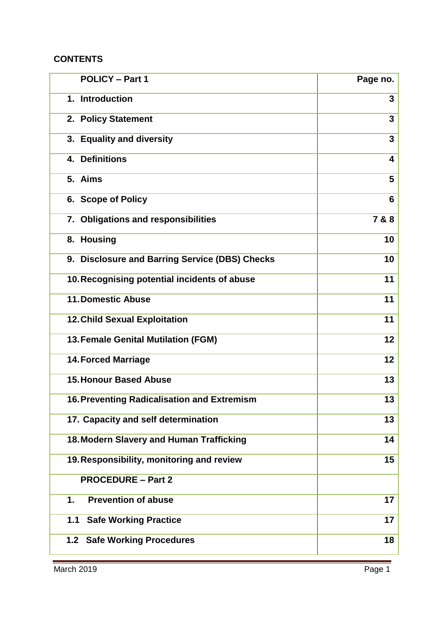### **CONTENTS**

| <b>POLICY - Part 1</b>                             | Page no.       |
|----------------------------------------------------|----------------|
| 1. Introduction                                    | 3              |
| 2. Policy Statement                                | 3              |
| 3. Equality and diversity                          | $\mathbf{3}$   |
| <b>Definitions</b><br>4.                           | 4              |
| 5. Aims                                            | 5              |
| 6. Scope of Policy                                 | $6\phantom{1}$ |
| 7. Obligations and responsibilities                | 7 & 8          |
| 8. Housing                                         | 10             |
| 9. Disclosure and Barring Service (DBS) Checks     | 10             |
| 10. Recognising potential incidents of abuse       | 11             |
| <b>11. Domestic Abuse</b>                          | 11             |
| <b>12. Child Sexual Exploitation</b>               | 11             |
| 13. Female Genital Mutilation (FGM)                | 12             |
| <b>14. Forced Marriage</b>                         | 12             |
| <b>15. Honour Based Abuse</b>                      | 13             |
| <b>16. Preventing Radicalisation and Extremism</b> | 13             |
| 17. Capacity and self determination                | 13             |
| 18. Modern Slavery and Human Trafficking           | 14             |
| 19. Responsibility, monitoring and review          | 15             |
| <b>PROCEDURE - Part 2</b>                          |                |
| <b>Prevention of abuse</b><br>1.                   | 17             |
| <b>Safe Working Practice</b><br>1.1                | 17             |
| <b>Safe Working Procedures</b><br>1.2              | 18             |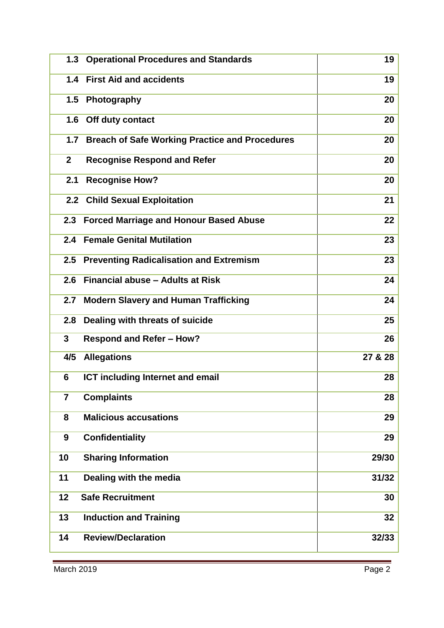| 1.3            | <b>Operational Procedures and Standards</b>           | 19      |
|----------------|-------------------------------------------------------|---------|
|                | 1.4 First Aid and accidents                           | 19      |
| 1.5            | Photography                                           | 20      |
| 1.6            | Off duty contact                                      | 20      |
| 1.7            | <b>Breach of Safe Working Practice and Procedures</b> | 20      |
| 2 <sup>1</sup> | <b>Recognise Respond and Refer</b>                    | 20      |
| 2.1            | <b>Recognise How?</b>                                 | 20      |
|                | 2.2 Child Sexual Exploitation                         | 21      |
| 2.3            | <b>Forced Marriage and Honour Based Abuse</b>         | 22      |
|                | 2.4 Female Genital Mutilation                         | 23      |
| 2.5            | <b>Preventing Radicalisation and Extremism</b>        | 23      |
| 2.6            | Financial abuse - Adults at Risk                      | 24      |
| 2.7            | <b>Modern Slavery and Human Trafficking</b>           | 24      |
| 2.8            | Dealing with threats of suicide                       | 25      |
| $\mathbf{3}$   | <b>Respond and Refer - How?</b>                       | 26      |
| 4/5            | <b>Allegations</b>                                    | 27 & 28 |
| 6              | <b>ICT including Internet and email</b>               | 28      |
| $\overline{7}$ | <b>Complaints</b>                                     | 28      |
| 8              | <b>Malicious accusations</b>                          | 29      |
| 9              | <b>Confidentiality</b>                                | 29      |
| 10             | <b>Sharing Information</b>                            | 29/30   |
| 11             | Dealing with the media                                | 31/32   |
| 12             | <b>Safe Recruitment</b>                               | 30      |
| 13             | <b>Induction and Training</b>                         | 32      |
| 14             | <b>Review/Declaration</b>                             | 32/33   |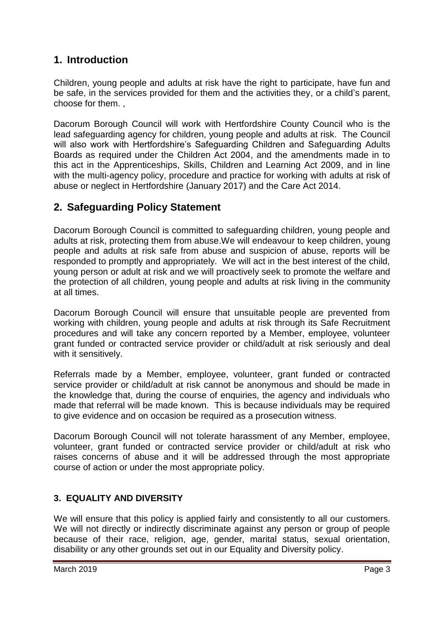## **1. Introduction**

Children, young people and adults at risk have the right to participate, have fun and be safe, in the services provided for them and the activities they, or a child's parent, choose for them. ,

Dacorum Borough Council will work with Hertfordshire County Council who is the lead safeguarding agency for children, young people and adults at risk. The Council will also work with Hertfordshire's Safeguarding Children and Safeguarding Adults Boards as required under the Children Act 2004, and the amendments made in to this act in the Apprenticeships, Skills, Children and Learning Act 2009, and in line with the multi-agency policy, procedure and practice for working with adults at risk of abuse or neglect in Hertfordshire (January 2017) and the Care Act 2014.

## **2. Safeguarding Policy Statement**

Dacorum Borough Council is committed to safeguarding children, young people and adults at risk, protecting them from abuse.We will endeavour to keep children, young people and adults at risk safe from abuse and suspicion of abuse, reports will be responded to promptly and appropriately. We will act in the best interest of the child, young person or adult at risk and we will proactively seek to promote the welfare and the protection of all children, young people and adults at risk living in the community at all times.

Dacorum Borough Council will ensure that unsuitable people are prevented from working with children, young people and adults at risk through its Safe Recruitment procedures and will take any concern reported by a Member, employee, volunteer grant funded or contracted service provider or child/adult at risk seriously and deal with it sensitively.

Referrals made by a Member, employee, volunteer, grant funded or contracted service provider or child/adult at risk cannot be anonymous and should be made in the knowledge that, during the course of enquiries, the agency and individuals who made that referral will be made known. This is because individuals may be required to give evidence and on occasion be required as a prosecution witness.

Dacorum Borough Council will not tolerate harassment of any Member, employee, volunteer, grant funded or contracted service provider or child/adult at risk who raises concerns of abuse and it will be addressed through the most appropriate course of action or under the most appropriate policy.

### **3. EQUALITY AND DIVERSITY**

We will ensure that this policy is applied fairly and consistently to all our customers. We will not directly or indirectly discriminate against any person or group of people because of their race, religion, age, gender, marital status, sexual orientation, disability or any other grounds set out in our Equality and Diversity policy.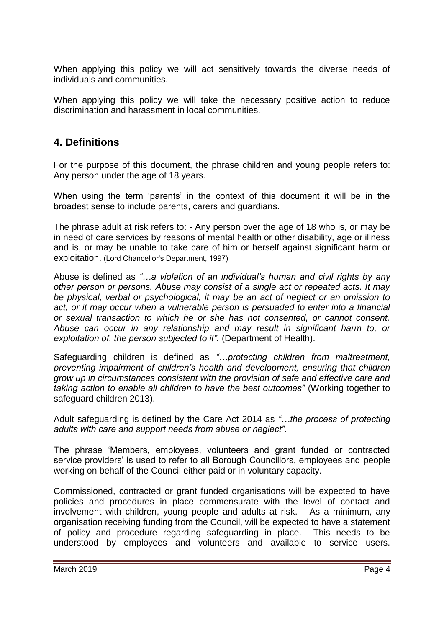When applying this policy we will act sensitively towards the diverse needs of individuals and communities.

When applying this policy we will take the necessary positive action to reduce discrimination and harassment in local communities.

## **4. Definitions**

For the purpose of this document, the phrase children and young people refers to: Any person under the age of 18 years.

When using the term 'parents' in the context of this document it will be in the broadest sense to include parents, carers and guardians.

The phrase adult at risk refers to: - Any person over the age of 18 who is, or may be in need of care services by reasons of mental health or other disability, age or illness and is, or may be unable to take care of him or herself against significant harm or exploitation. (Lord Chancellor's Department, 1997)

Abuse is defined as *"…a violation of an individual's human and civil rights by any other person or persons. Abuse may consist of a single act or repeated acts. It may be physical, verbal or psychological, it may be an act of neglect or an omission to act, or it may occur when a vulnerable person is persuaded to enter into a financial or sexual transaction to which he or she has not consented, or cannot consent. Abuse can occur in any relationship and may result in significant harm to, or exploitation of, the person subjected to it".* (Department of Health).

Safeguarding children is defined as *"…protecting children from maltreatment, preventing impairment of children's health and development, ensuring that children grow up in circumstances consistent with the provision of safe and effective care and taking action to enable all children to have the best outcomes"* (Working together to safeguard children 2013).

Adult safeguarding is defined by the Care Act 2014 as *"…the process of protecting adults with care and support needs from abuse or neglect".*

The phrase 'Members, employees, volunteers and grant funded or contracted service providers' is used to refer to all Borough Councillors, employees and people working on behalf of the Council either paid or in voluntary capacity.

Commissioned, contracted or grant funded organisations will be expected to have policies and procedures in place commensurate with the level of contact and involvement with children, young people and adults at risk. As a minimum, any organisation receiving funding from the Council, will be expected to have a statement of policy and procedure regarding safeguarding in place. This needs to be understood by employees and volunteers and available to service users.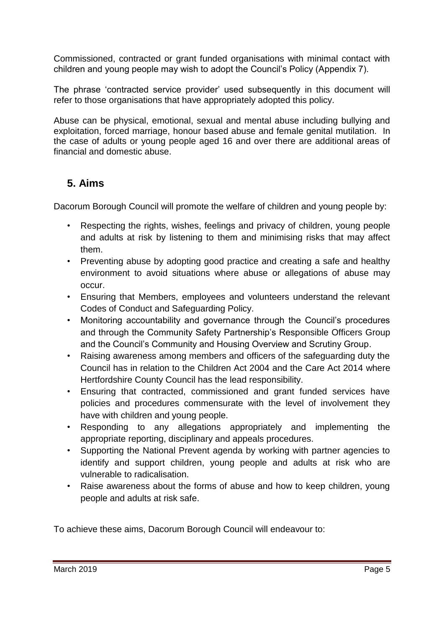Commissioned, contracted or grant funded organisations with minimal contact with children and young people may wish to adopt the Council's Policy (Appendix 7).

The phrase 'contracted service provider' used subsequently in this document will refer to those organisations that have appropriately adopted this policy.

Abuse can be physical, emotional, sexual and mental abuse including bullying and exploitation, forced marriage, honour based abuse and female genital mutilation. In the case of adults or young people aged 16 and over there are additional areas of financial and domestic abuse.

# **5. Aims**

Dacorum Borough Council will promote the welfare of children and young people by:

- Respecting the rights, wishes, feelings and privacy of children, young people and adults at risk by listening to them and minimising risks that may affect them.
- Preventing abuse by adopting good practice and creating a safe and healthy environment to avoid situations where abuse or allegations of abuse may occur.
- Ensuring that Members, employees and volunteers understand the relevant Codes of Conduct and Safeguarding Policy.
- Monitoring accountability and governance through the Council's procedures and through the Community Safety Partnership's Responsible Officers Group and the Council's Community and Housing Overview and Scrutiny Group.
- Raising awareness among members and officers of the safeguarding duty the Council has in relation to the Children Act 2004 and the Care Act 2014 where Hertfordshire County Council has the lead responsibility.
- Ensuring that contracted, commissioned and grant funded services have policies and procedures commensurate with the level of involvement they have with children and young people.
- Responding to any allegations appropriately and implementing the appropriate reporting, disciplinary and appeals procedures.
- Supporting the National Prevent agenda by working with partner agencies to identify and support children, young people and adults at risk who are vulnerable to radicalisation.
- Raise awareness about the forms of abuse and how to keep children, young people and adults at risk safe.

To achieve these aims, Dacorum Borough Council will endeavour to: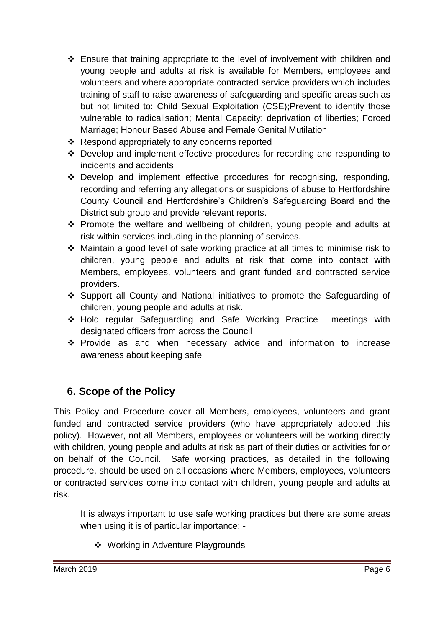- Ensure that training appropriate to the level of involvement with children and young people and adults at risk is available for Members, employees and volunteers and where appropriate contracted service providers which includes training of staff to raise awareness of safeguarding and specific areas such as but not limited to: Child Sexual Exploitation (CSE);Prevent to identify those vulnerable to radicalisation; Mental Capacity; deprivation of liberties; Forced Marriage; Honour Based Abuse and Female Genital Mutilation
- ❖ Respond appropriately to any concerns reported
- Develop and implement effective procedures for recording and responding to incidents and accidents
- Develop and implement effective procedures for recognising, responding, recording and referring any allegations or suspicions of abuse to Hertfordshire County Council and Hertfordshire's Children's Safeguarding Board and the District sub group and provide relevant reports.
- Promote the welfare and wellbeing of children, young people and adults at risk within services including in the planning of services.
- Maintain a good level of safe working practice at all times to minimise risk to children, young people and adults at risk that come into contact with Members, employees, volunteers and grant funded and contracted service providers.
- Support all County and National initiatives to promote the Safeguarding of children, young people and adults at risk.
- Hold regular Safeguarding and Safe Working Practice meetings with designated officers from across the Council
- \* Provide as and when necessary advice and information to increase awareness about keeping safe

## **6. Scope of the Policy**

This Policy and Procedure cover all Members, employees, volunteers and grant funded and contracted service providers (who have appropriately adopted this policy). However, not all Members, employees or volunteers will be working directly with children, young people and adults at risk as part of their duties or activities for or on behalf of the Council. Safe working practices, as detailed in the following procedure, should be used on all occasions where Members, employees, volunteers or contracted services come into contact with children, young people and adults at risk.

It is always important to use safe working practices but there are some areas when using it is of particular importance: -

❖ Working in Adventure Playgrounds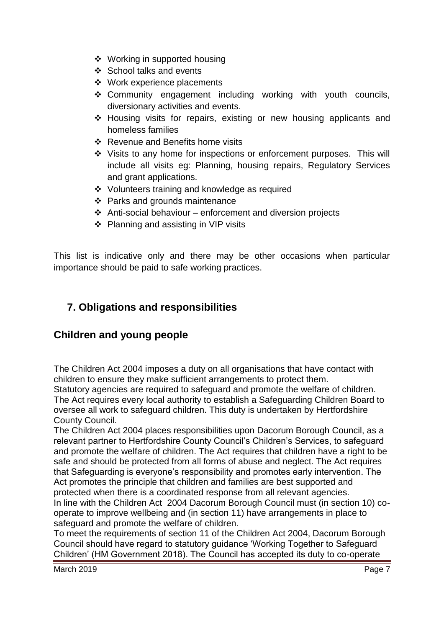- ❖ Working in supported housing
- ❖ School talks and events
- Work experience placements
- Community engagement including working with youth councils, diversionary activities and events.
- Housing visits for repairs, existing or new housing applicants and homeless families
- ❖ Revenue and Benefits home visits
- Visits to any home for inspections or enforcement purposes. This will include all visits eg: Planning, housing repairs, Regulatory Services and grant applications.
- Volunteers training and knowledge as required
- ❖ Parks and grounds maintenance
- $\triangle$  Anti-social behaviour enforcement and diversion projects
- ❖ Planning and assisting in VIP visits

This list is indicative only and there may be other occasions when particular importance should be paid to safe working practices.

## **7. Obligations and responsibilities**

## **Children and young people**

The Children Act 2004 imposes a duty on all organisations that have contact with children to ensure they make sufficient arrangements to protect them.

Statutory agencies are required to safeguard and promote the welfare of children. The Act requires every local authority to establish a Safeguarding Children Board to oversee all work to safeguard children. This duty is undertaken by Hertfordshire County Council.

The Children Act 2004 places responsibilities upon Dacorum Borough Council, as a relevant partner to Hertfordshire County Council's Children's Services, to safeguard and promote the welfare of children. The Act requires that children have a right to be safe and should be protected from all forms of abuse and neglect. The Act requires that Safeguarding is everyone's responsibility and promotes early intervention. The Act promotes the principle that children and families are best supported and protected when there is a coordinated response from all relevant agencies. In line with the Children Act 2004 Dacorum Borough Council must (in section 10) cooperate to improve wellbeing and (in section 11) have arrangements in place to safeguard and promote the welfare of children.

To meet the requirements of section 11 of the Children Act 2004, Dacorum Borough Council should have regard to statutory guidance 'Working Together to Safeguard Children' (HM Government 2018). The Council has accepted its duty to co-operate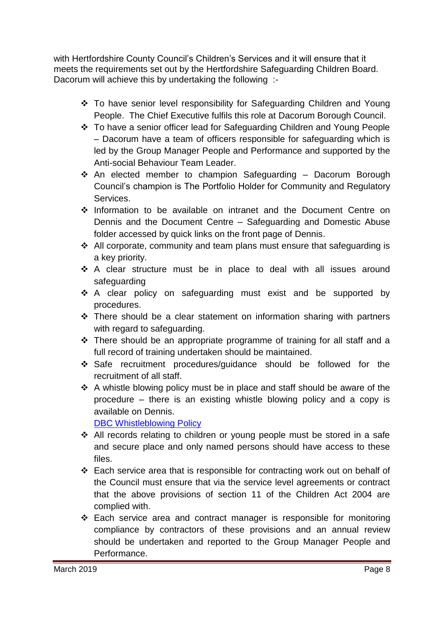with Hertfordshire County Council's Children's Services and it will ensure that it meets the requirements set out by the Hertfordshire Safeguarding Children Board. Dacorum will achieve this by undertaking the following :-

- To have senior level responsibility for Safeguarding Children and Young People. The Chief Executive fulfils this role at Dacorum Borough Council.
- To have a senior officer lead for Safeguarding Children and Young People – Dacorum have a team of officers responsible for safeguarding which is led by the Group Manager People and Performance and supported by the Anti-social Behaviour Team Leader.
- $\cdot$  An elected member to champion Safeguarding Dacorum Borough Council's champion is The Portfolio Holder for Community and Regulatory Services.
- Information to be available on intranet and the Document Centre on Dennis and the Document Centre – Safeguarding and Domestic Abuse folder accessed by quick links on the front page of Dennis.
- $\triangleleft$  All corporate, community and team plans must ensure that safeguarding is a key priority.
- \* A clear structure must be in place to deal with all issues around safeguarding
- \* A clear policy on safeguarding must exist and be supported by procedures.
- \* There should be a clear statement on information sharing with partners with regard to safeguarding.
- $\div$  There should be an appropriate programme of training for all staff and a full record of training undertaken should be maintained.
- Safe recruitment procedures/guidance should be followed for the recruitment of all staff.
- $\div$  A whistle blowing policy must be in place and staff should be aware of the procedure – there is an existing whistle blowing policy and a copy is available on Dennis.

[DBC Whistleblowing Policy](http://dennis/Docs/Documents/Forms/AllItems.aspx?RootFolder=%2FDocs%2FDocuments%2FPolices%20%2D%20Procedures%20%2D%20Sustainability%20Tool%20Kit%2FPolicies)

- All records relating to children or young people must be stored in a safe and secure place and only named persons should have access to these files.
- Each service area that is responsible for contracting work out on behalf of the Council must ensure that via the service level agreements or contract that the above provisions of section 11 of the Children Act 2004 are complied with.
- Each service area and contract manager is responsible for monitoring compliance by contractors of these provisions and an annual review should be undertaken and reported to the Group Manager People and Performance.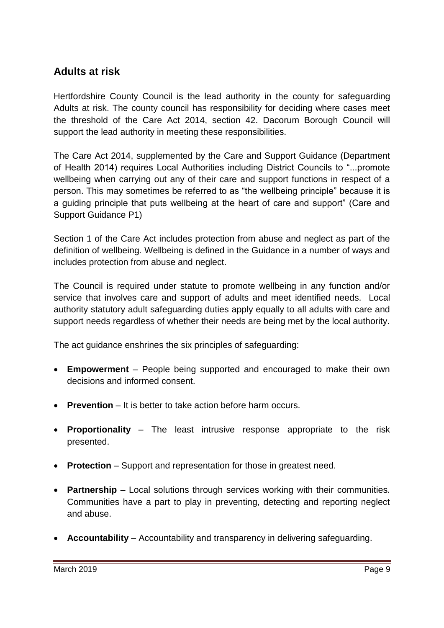## **Adults at risk**

Hertfordshire County Council is the lead authority in the county for safeguarding Adults at risk. The county council has responsibility for deciding where cases meet the threshold of the Care Act 2014, section 42. Dacorum Borough Council will support the lead authority in meeting these responsibilities.

The Care Act 2014, supplemented by the Care and Support Guidance (Department of Health 2014) requires Local Authorities including District Councils to "...promote wellbeing when carrying out any of their care and support functions in respect of a person. This may sometimes be referred to as "the wellbeing principle" because it is a guiding principle that puts wellbeing at the heart of care and support" (Care and Support Guidance P1)

Section 1 of the Care Act includes protection from abuse and neglect as part of the definition of wellbeing. Wellbeing is defined in the Guidance in a number of ways and includes protection from abuse and neglect.

The Council is required under statute to promote wellbeing in any function and/or service that involves care and support of adults and meet identified needs. Local authority statutory adult safeguarding duties apply equally to all adults with care and support needs regardless of whether their needs are being met by the local authority.

The act guidance enshrines the six principles of safeguarding:

- **Empowerment**  People being supported and encouraged to make their own decisions and informed consent.
- **Prevention** It is better to take action before harm occurs.
- **Proportionality** The least intrusive response appropriate to the risk presented.
- **Protection** Support and representation for those in greatest need.
- **Partnership** Local solutions through services working with their communities. Communities have a part to play in preventing, detecting and reporting neglect and abuse.
- **Accountability** Accountability and transparency in delivering safeguarding.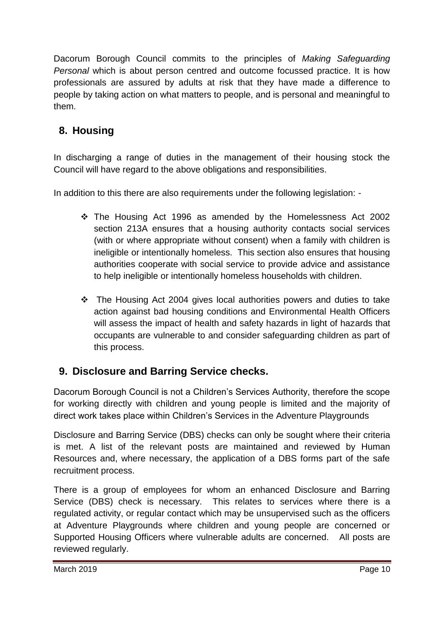Dacorum Borough Council commits to the principles of *Making Safeguarding Personal* which is about person centred and outcome focussed practice. It is how professionals are assured by adults at risk that they have made a difference to people by taking action on what matters to people, and is personal and meaningful to them.

# **8. Housing**

In discharging a range of duties in the management of their housing stock the Council will have regard to the above obligations and responsibilities.

In addition to this there are also requirements under the following legislation: -

- The Housing Act 1996 as amended by the Homelessness Act 2002 section 213A ensures that a housing authority contacts social services (with or where appropriate without consent) when a family with children is ineligible or intentionally homeless. This section also ensures that housing authorities cooperate with social service to provide advice and assistance to help ineligible or intentionally homeless households with children.
- $\cdot \cdot$  The Housing Act 2004 gives local authorities powers and duties to take action against bad housing conditions and Environmental Health Officers will assess the impact of health and safety hazards in light of hazards that occupants are vulnerable to and consider safeguarding children as part of this process.

# **9. Disclosure and Barring Service checks.**

Dacorum Borough Council is not a Children's Services Authority, therefore the scope for working directly with children and young people is limited and the majority of direct work takes place within Children's Services in the Adventure Playgrounds

Disclosure and Barring Service (DBS) checks can only be sought where their criteria is met. A list of the relevant posts are maintained and reviewed by Human Resources and, where necessary, the application of a DBS forms part of the safe recruitment process.

There is a group of employees for whom an enhanced Disclosure and Barring Service (DBS) check is necessary. This relates to services where there is a regulated activity, or regular contact which may be unsupervised such as the officers at Adventure Playgrounds where children and young people are concerned or Supported Housing Officers where vulnerable adults are concerned. All posts are reviewed regularly.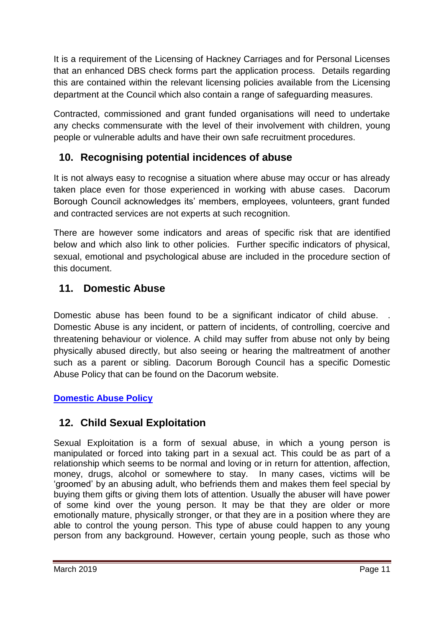It is a requirement of the Licensing of Hackney Carriages and for Personal Licenses that an enhanced DBS check forms part the application process. Details regarding this are contained within the relevant licensing policies available from the Licensing department at the Council which also contain a range of safeguarding measures.

Contracted, commissioned and grant funded organisations will need to undertake any checks commensurate with the level of their involvement with children, young people or vulnerable adults and have their own safe recruitment procedures.

# **10. Recognising potential incidences of abuse**

It is not always easy to recognise a situation where abuse may occur or has already taken place even for those experienced in working with abuse cases. Dacorum Borough Council acknowledges its' members, employees, volunteers, grant funded and contracted services are not experts at such recognition.

There are however some indicators and areas of specific risk that are identified below and which also link to other policies. Further specific indicators of physical, sexual, emotional and psychological abuse are included in the procedure section of this document.

# **11. Domestic Abuse**

Domestic abuse has been found to be a significant indicator of child abuse. Domestic Abuse is any incident, or pattern of incidents, of controlling, coercive and threatening behaviour or violence. A child may suffer from abuse not only by being physically abused directly, but also seeing or hearing the maltreatment of another such as a parent or sibling. Dacorum Borough Council has a specific Domestic Abuse Policy that can be found on the Dacorum website.

## **[Domestic Abuse Policy](http://dennis/Docs/Documents/Forms/AllItems.aspx?RootFolder=%2FDocs%2FDocuments%2FHealth%20and%20Wellbeing%2FSafeguarding%20and%20Domestic%20Abuse%2FDomestic%20Abuse)**

# **12. Child Sexual Exploitation**

Sexual Exploitation is a form of sexual abuse, in which a young person is manipulated or forced into taking part in a sexual act. This could be as part of a relationship which seems to be normal and loving or in return for attention, affection, money, drugs, alcohol or somewhere to stay. In many cases, victims will be 'groomed' by an abusing adult, who befriends them and makes them feel special by buying them gifts or giving them lots of attention. Usually the abuser will have power of some kind over the young person. It may be that they are older or more emotionally mature, physically stronger, or that they are in a position where they are able to control the young person. This type of abuse could happen to any young person from any background. However, certain young people, such as those who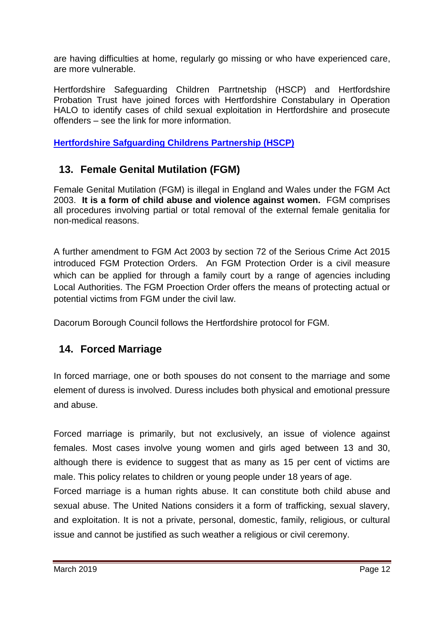are having difficulties at home, regularly go missing or who have experienced care, are more vulnerable.

Hertfordshire Safeguarding Children Parrtnetship (HSCP) and Hertfordshire Probation Trust have joined forces with Hertfordshire Constabulary in Operation HALO to identify cases of child sexual exploitation in Hertfordshire and prosecute offenders – see the link for more information.

**[Hertfordshire Safguarding Childrens Partnership \(HSCP\)](http://www.hertfordshire.gov.uk/services/healthsoc/childfam/childprotection/hertssafboard/childexplo/)**

## **13. Female Genital Mutilation (FGM)**

Female Genital Mutilation (FGM) is illegal in England and Wales under the FGM Act 2003. **It is a form of child abuse and violence against women.** FGM comprises all procedures involving partial or total removal of the external female genitalia for non-medical reasons.

A further amendment to FGM Act 2003 by section 72 of the Serious Crime Act 2015 introduced FGM Protection Orders. An FGM Protection Order is a civil measure which can be applied for through a family court by a range of agencies including Local Authorities. The FGM Proection Order offers the means of protecting actual or potential victims from FGM under the civil law.

Dacorum Borough Council follows the Hertfordshire protocol for FGM.

## **14. Forced Marriage**

In forced marriage, one or both spouses do not consent to the marriage and some element of duress is involved. Duress includes both physical and emotional pressure and abuse.

Forced marriage is primarily, but not exclusively, an issue of violence against females. Most cases involve young women and girls aged between 13 and 30, although there is evidence to suggest that as many as 15 per cent of victims are male. This policy relates to children or young people under 18 years of age.

Forced marriage is a human rights abuse. It can constitute both child abuse and sexual abuse. The United Nations considers it a form of trafficking, sexual slavery, and exploitation. It is not a private, personal, domestic, family, religious, or cultural issue and cannot be justified as such weather a religious or civil ceremony.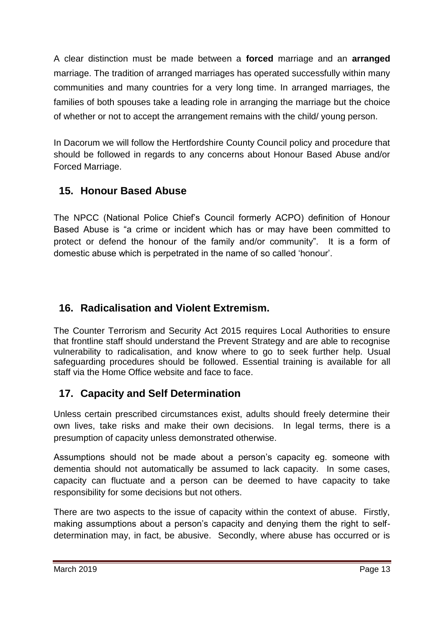A clear distinction must be made between a **forced** marriage and an **arranged** marriage. The tradition of arranged marriages has operated successfully within many communities and many countries for a very long time. In arranged marriages, the families of both spouses take a leading role in arranging the marriage but the choice of whether or not to accept the arrangement remains with the child/ young person.

In Dacorum we will follow the Hertfordshire County Council policy and procedure that should be followed in regards to any concerns about Honour Based Abuse and/or Forced Marriage.

## **15. Honour Based Abuse**

The NPCC (National Police Chief's Council formerly ACPO) definition of Honour Based Abuse is "a crime or incident which has or may have been committed to protect or defend the honour of the family and/or community". It is a form of domestic abuse which is perpetrated in the name of so called 'honour'.

# **16. Radicalisation and Violent Extremism.**

The Counter Terrorism and Security Act 2015 requires Local Authorities to ensure that frontline staff should understand the Prevent Strategy and are able to recognise vulnerability to radicalisation, and know where to go to seek further help. Usual safeguarding procedures should be followed. Essential training is available for all staff via the Home Office website and face to face.

## **17. Capacity and Self Determination**

Unless certain prescribed circumstances exist, adults should freely determine their own lives, take risks and make their own decisions. In legal terms, there is a presumption of capacity unless demonstrated otherwise.

Assumptions should not be made about a person's capacity eg. someone with dementia should not automatically be assumed to lack capacity. In some cases, capacity can fluctuate and a person can be deemed to have capacity to take responsibility for some decisions but not others.

There are two aspects to the issue of capacity within the context of abuse. Firstly, making assumptions about a person's capacity and denying them the right to selfdetermination may, in fact, be abusive. Secondly, where abuse has occurred or is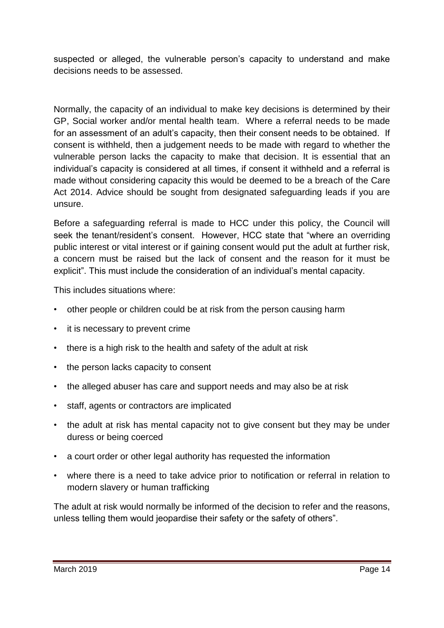suspected or alleged, the vulnerable person's capacity to understand and make decisions needs to be assessed.

Normally, the capacity of an individual to make key decisions is determined by their GP, Social worker and/or mental health team. Where a referral needs to be made for an assessment of an adult's capacity, then their consent needs to be obtained. If consent is withheld, then a judgement needs to be made with regard to whether the vulnerable person lacks the capacity to make that decision. It is essential that an individual's capacity is considered at all times, if consent it withheld and a referral is made without considering capacity this would be deemed to be a breach of the Care Act 2014. Advice should be sought from designated safeguarding leads if you are unsure.

Before a safeguarding referral is made to HCC under this policy, the Council will seek the tenant/resident's consent. However, HCC state that "where an overriding public interest or vital interest or if gaining consent would put the adult at further risk, a concern must be raised but the lack of consent and the reason for it must be explicit". This must include the consideration of an individual's mental capacity.

This includes situations where:

- other people or children could be at risk from the person causing harm
- it is necessary to prevent crime
- there is a high risk to the health and safety of the adult at risk
- the person lacks capacity to consent
- the alleged abuser has care and support needs and may also be at risk
- staff, agents or contractors are implicated
- the adult at risk has mental capacity not to give consent but they may be under duress or being coerced
- a court order or other legal authority has requested the information
- where there is a need to take advice prior to notification or referral in relation to modern slavery or human trafficking

The adult at risk would normally be informed of the decision to refer and the reasons, unless telling them would jeopardise their safety or the safety of others".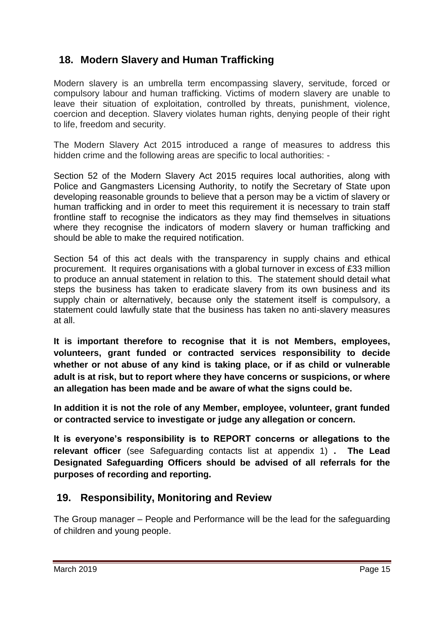## **18. Modern Slavery and Human Trafficking**

Modern slavery is an umbrella term encompassing slavery, servitude, forced or compulsory labour and human trafficking. Victims of modern slavery are unable to leave their situation of exploitation, controlled by threats, punishment, violence, coercion and deception. Slavery violates human rights, denying people of their right to life, freedom and security.

The Modern Slavery Act 2015 introduced a range of measures to address this hidden crime and the following areas are specific to local authorities: -

Section 52 of the Modern Slavery Act 2015 requires local authorities, along with Police and Gangmasters Licensing Authority, to notify the Secretary of State upon developing reasonable grounds to believe that a person may be a victim of slavery or human trafficking and in order to meet this requirement it is necessary to train staff frontline staff to recognise the indicators as they may find themselves in situations where they recognise the indicators of modern slavery or human trafficking and should be able to make the required notification.

Section 54 of this act deals with the transparency in supply chains and ethical procurement. It requires organisations with a global turnover in excess of £33 million to produce an annual statement in relation to this. The statement should detail what steps the business has taken to eradicate slavery from its own business and its supply chain or alternatively, because only the statement itself is compulsory, a statement could lawfully state that the business has taken no anti-slavery measures at all.

**It is important therefore to recognise that it is not Members, employees, volunteers, grant funded or contracted services responsibility to decide whether or not abuse of any kind is taking place, or if as child or vulnerable adult is at risk, but to report where they have concerns or suspicions, or where an allegation has been made and be aware of what the signs could be.** 

**In addition it is not the role of any Member, employee, volunteer, grant funded or contracted service to investigate or judge any allegation or concern.** 

**It is everyone's responsibility is to REPORT concerns or allegations to the relevant officer** (see Safeguarding contacts list at appendix 1) **. The Lead Designated Safeguarding Officers should be advised of all referrals for the purposes of recording and reporting.**

## **19. Responsibility, Monitoring and Review**

The Group manager – People and Performance will be the lead for the safeguarding of children and young people.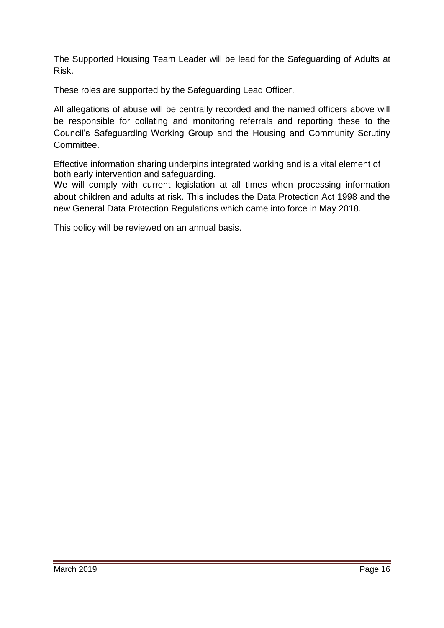The Supported Housing Team Leader will be lead for the Safeguarding of Adults at Risk.

These roles are supported by the Safeguarding Lead Officer.

All allegations of abuse will be centrally recorded and the named officers above will be responsible for collating and monitoring referrals and reporting these to the Council's Safeguarding Working Group and the Housing and Community Scrutiny Committee.

Effective information sharing underpins integrated working and is a vital element of both early intervention and safeguarding.

We will comply with current legislation at all times when processing information about children and adults at risk. This includes the Data Protection Act 1998 and the new General Data Protection Regulations which came into force in May 2018.

This policy will be reviewed on an annual basis.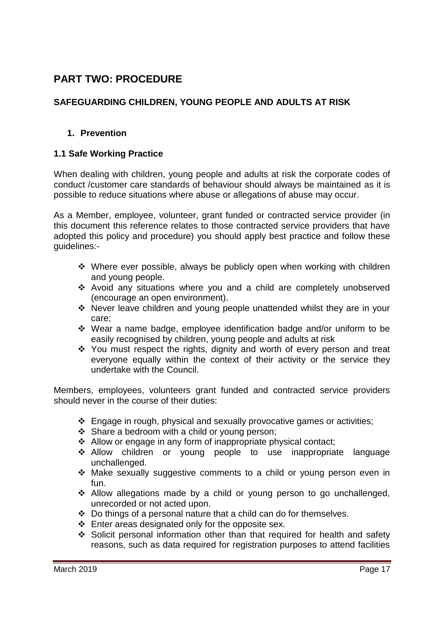## **PART TWO: PROCEDURE**

### **SAFEGUARDING CHILDREN, YOUNG PEOPLE AND ADULTS AT RISK**

### **1. Prevention**

### **1.1 Safe Working Practice**

When dealing with children, young people and adults at risk the corporate codes of conduct /customer care standards of behaviour should always be maintained as it is possible to reduce situations where abuse or allegations of abuse may occur.

As a Member, employee, volunteer, grant funded or contracted service provider (in this document this reference relates to those contracted service providers that have adopted this policy and procedure) you should apply best practice and follow these guidelines:-

- $\div$  Where ever possible, always be publicly open when working with children and young people.
- \* Avoid any situations where you and a child are completely unobserved (encourage an open environment).
- Never leave children and young people unattended whilst they are in your care;
- Wear a name badge, employee identification badge and/or uniform to be easily recognised by children, young people and adults at risk
- \* You must respect the rights, dignity and worth of every person and treat everyone equally within the context of their activity or the service they undertake with the Council.

Members, employees, volunteers grant funded and contracted service providers should never in the course of their duties:

- Engage in rough, physical and sexually provocative games or activities;
- Share a bedroom with a child or young person;
- Allow or engage in any form of inappropriate physical contact;
- \* Allow children or young people to use inappropriate language unchallenged.
- Make sexually suggestive comments to a child or young person even in fun.
- \* Allow allegations made by a child or young person to go unchallenged, unrecorded or not acted upon.
- Do things of a personal nature that a child can do for themselves.
- $\div$  Enter areas designated only for the opposite sex.
- Solicit personal information other than that required for health and safety reasons, such as data required for registration purposes to attend facilities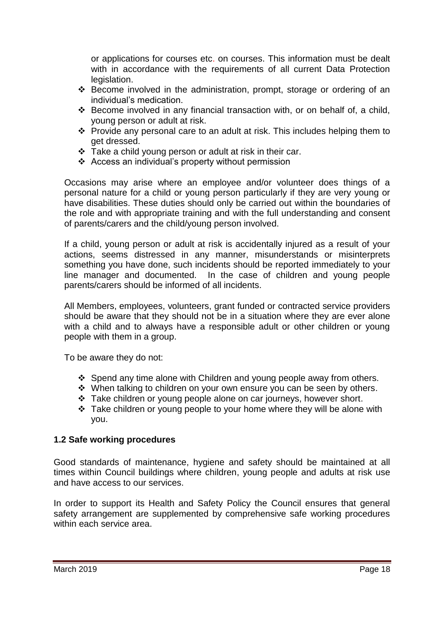or applications for courses etc. on courses. This information must be dealt with in accordance with the requirements of all current Data Protection legislation.

- Become involved in the administration, prompt, storage or ordering of an individual's medication.
- Become involved in any financial transaction with, or on behalf of, a child, young person or adult at risk.
- \* Provide any personal care to an adult at risk. This includes helping them to get dressed.
- Take a child young person or adult at risk in their car.
- Access an individual's property without permission

Occasions may arise where an employee and/or volunteer does things of a personal nature for a child or young person particularly if they are very young or have disabilities. These duties should only be carried out within the boundaries of the role and with appropriate training and with the full understanding and consent of parents/carers and the child/young person involved.

If a child, young person or adult at risk is accidentally injured as a result of your actions, seems distressed in any manner, misunderstands or misinterprets something you have done, such incidents should be reported immediately to your line manager and documented. In the case of children and young people parents/carers should be informed of all incidents.

All Members, employees, volunteers, grant funded or contracted service providers should be aware that they should not be in a situation where they are ever alone with a child and to always have a responsible adult or other children or young people with them in a group.

To be aware they do not:

- $\div$  Spend any time alone with Children and young people away from others.
- When talking to children on your own ensure you can be seen by others.
- \* Take children or young people alone on car journeys, however short.
- $\cdot$  Take children or young people to your home where they will be alone with you.

#### **1.2 Safe working procedures**

Good standards of maintenance, hygiene and safety should be maintained at all times within Council buildings where children, young people and adults at risk use and have access to our services.

In order to support its Health and Safety Policy the Council ensures that general safety arrangement are supplemented by comprehensive safe working procedures within each service area.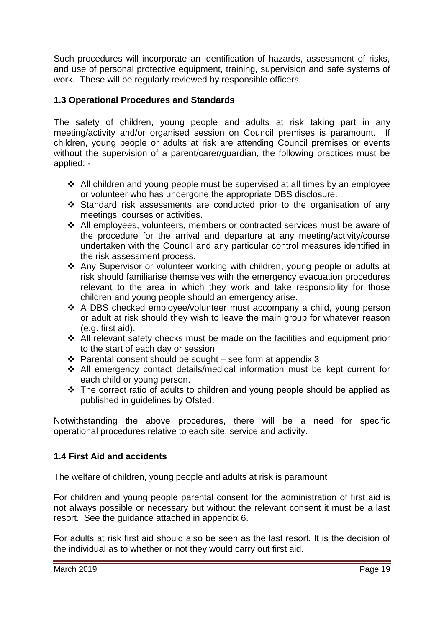Such procedures will incorporate an identification of hazards, assessment of risks, and use of personal protective equipment, training, supervision and safe systems of work. These will be regularly reviewed by responsible officers.

### **1.3 Operational Procedures and Standards**

The safety of children, young people and adults at risk taking part in any meeting/activity and/or organised session on Council premises is paramount. If children, young people or adults at risk are attending Council premises or events without the supervision of a parent/carer/guardian, the following practices must be applied: -

- $\div$  All children and young people must be supervised at all times by an employee or volunteer who has undergone the appropriate DBS disclosure.
- Standard risk assessments are conducted prior to the organisation of any meetings, courses or activities.
- All employees, volunteers, members or contracted services must be aware of the procedure for the arrival and departure at any meeting/activity/course undertaken with the Council and any particular control measures identified in the risk assessment process.
- Any Supervisor or volunteer working with children, young people or adults at risk should familiarise themselves with the emergency evacuation procedures relevant to the area in which they work and take responsibility for those children and young people should an emergency arise.
- A DBS checked employee/volunteer must accompany a child, young person or adult at risk should they wish to leave the main group for whatever reason (e.g. first aid).
- All relevant safety checks must be made on the facilities and equipment prior to the start of each day or session.
- $\div$  Parental consent should be sought see form at appendix 3
- All emergency contact details/medical information must be kept current for each child or young person.
- \* The correct ratio of adults to children and young people should be applied as published in guidelines by Ofsted.

Notwithstanding the above procedures, there will be a need for specific operational procedures relative to each site, service and activity.

### **1.4 First Aid and accidents**

The welfare of children, young people and adults at risk is paramount

For children and young people parental consent for the administration of first aid is not always possible or necessary but without the relevant consent it must be a last resort. See the guidance attached in appendix 6.

For adults at risk first aid should also be seen as the last resort. It is the decision of the individual as to whether or not they would carry out first aid.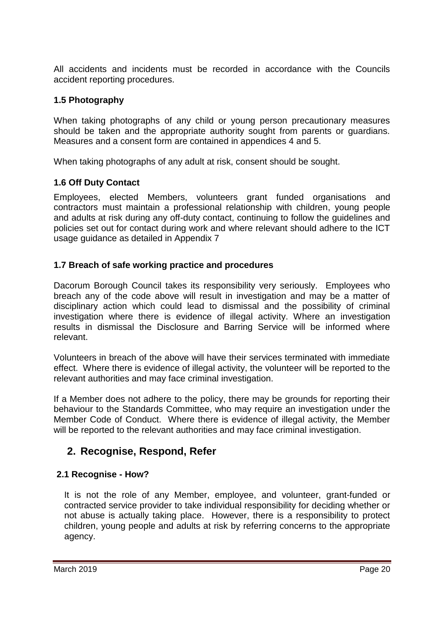All accidents and incidents must be recorded in accordance with the Councils accident reporting procedures.

### **1.5 Photography**

When taking photographs of any child or young person precautionary measures should be taken and the appropriate authority sought from parents or guardians. Measures and a consent form are contained in appendices 4 and 5.

When taking photographs of any adult at risk, consent should be sought.

### **1.6 Off Duty Contact**

Employees, elected Members, volunteers grant funded organisations and contractors must maintain a professional relationship with children, young people and adults at risk during any off-duty contact, continuing to follow the guidelines and policies set out for contact during work and where relevant should adhere to the ICT usage guidance as detailed in Appendix 7

### **1.7 Breach of safe working practice and procedures**

Dacorum Borough Council takes its responsibility very seriously. Employees who breach any of the code above will result in investigation and may be a matter of disciplinary action which could lead to dismissal and the possibility of criminal investigation where there is evidence of illegal activity. Where an investigation results in dismissal the Disclosure and Barring Service will be informed where relevant.

Volunteers in breach of the above will have their services terminated with immediate effect. Where there is evidence of illegal activity, the volunteer will be reported to the relevant authorities and may face criminal investigation.

If a Member does not adhere to the policy, there may be grounds for reporting their behaviour to the Standards Committee, who may require an investigation under the Member Code of Conduct. Where there is evidence of illegal activity, the Member will be reported to the relevant authorities and may face criminal investigation.

## **2. Recognise, Respond, Refer**

### **2.1 Recognise - How?**

It is not the role of any Member, employee, and volunteer, grant-funded or contracted service provider to take individual responsibility for deciding whether or not abuse is actually taking place. However, there is a responsibility to protect children, young people and adults at risk by referring concerns to the appropriate agency.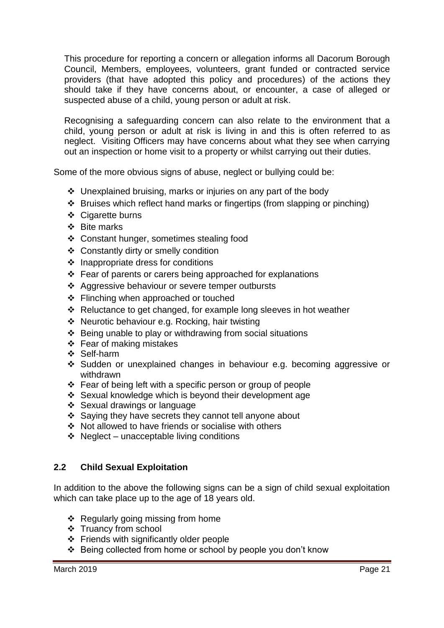This procedure for reporting a concern or allegation informs all Dacorum Borough Council, Members, employees, volunteers, grant funded or contracted service providers (that have adopted this policy and procedures) of the actions they should take if they have concerns about, or encounter, a case of alleged or suspected abuse of a child, young person or adult at risk.

Recognising a safeguarding concern can also relate to the environment that a child, young person or adult at risk is living in and this is often referred to as neglect. Visiting Officers may have concerns about what they see when carrying out an inspection or home visit to a property or whilst carrying out their duties.

Some of the more obvious signs of abuse, neglect or bullying could be:

- Unexplained bruising, marks or injuries on any part of the body
- Bruises which reflect hand marks or fingertips (from slapping or pinching)
- ❖ Cigarette burns
- ❖ Bite marks
- ❖ Constant hunger, sometimes stealing food
- ❖ Constantly dirty or smelly condition
- $\div$  Inappropriate dress for conditions
- $\div$  Fear of parents or carers being approached for explanations
- ❖ Aggressive behaviour or severe temper outbursts
- ❖ Flinching when approached or touched
- ❖ Reluctance to get changed, for example long sleeves in hot weather
- Neurotic behaviour e.g. Rocking, hair twisting
- $\div$  Being unable to play or withdrawing from social situations
- $\div$  Fear of making mistakes
- ❖ Self-harm
- Sudden or unexplained changes in behaviour e.g. becoming aggressive or withdrawn
- $\div$  Fear of being left with a specific person or group of people
- Sexual knowledge which is beyond their development age
- Sexual drawings or language
- Saying they have secrets they cannot tell anyone about
- Not allowed to have friends or socialise with others
- $\div$  Neglect unacceptable living conditions

#### **2.2 Child Sexual Exploitation**

In addition to the above the following signs can be a sign of child sexual exploitation which can take place up to the age of 18 years old.

- ❖ Regularly going missing from home
- ❖ Truancy from school
- Friends with significantly older people
- Being collected from home or school by people you don't know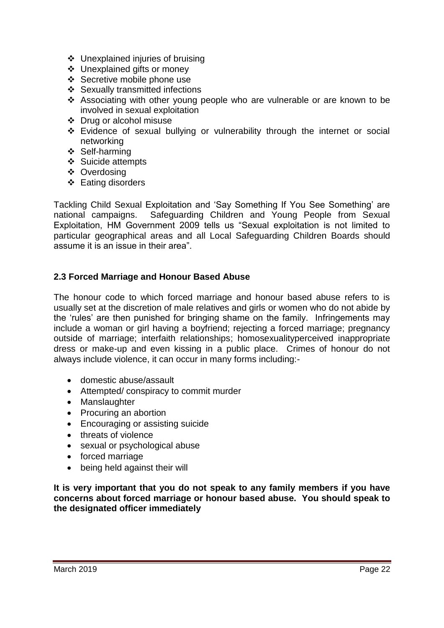- Unexplained injuries of bruising
- Unexplained gifts or money
- Secretive mobile phone use
- Sexually transmitted infections
- Associating with other young people who are vulnerable or are known to be involved in sexual exploitation
- Drug or alcohol misuse
- Evidence of sexual bullying or vulnerability through the internet or social networking
- ❖ Self-harming
- ❖ Suicide attempts
- ❖ Overdosing
- $\div$  Eating disorders

Tackling Child Sexual Exploitation and 'Say Something If You See Something' are national campaigns. Safeguarding Children and Young People from Sexual Exploitation, HM Government 2009 tells us "Sexual exploitation is not limited to particular geographical areas and all Local Safeguarding Children Boards should assume it is an issue in their area".

#### **2.3 Forced Marriage and Honour Based Abuse**

The honour code to which forced marriage and honour based abuse refers to is usually set at the discretion of male relatives and girls or women who do not abide by the 'rules' are then punished for bringing shame on the family. Infringements may include a woman or girl having a boyfriend; rejecting a forced marriage; pregnancy outside of marriage; interfaith relationships; homosexualityperceived inappropriate dress or make-up and even kissing in a public place. Crimes of honour do not always include violence, it can occur in many forms including:-

- domestic abuse/assault
- Attempted/ conspiracy to commit murder
- Manslaughter
- Procuring an abortion
- Encouraging or assisting suicide
- threats of violence
- sexual or psychological abuse
- forced marriage
- being held against their will

**It is very important that you do not speak to any family members if you have concerns about forced marriage or honour based abuse. You should speak to the designated officer immediately**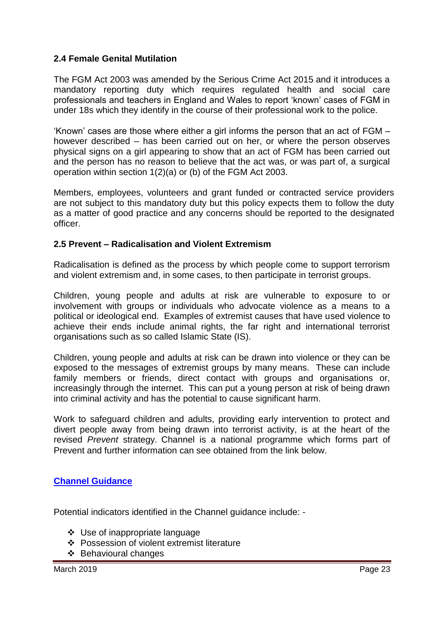### **2.4 Female Genital Mutilation**

The FGM Act 2003 was amended by the Serious Crime Act 2015 and it introduces a mandatory reporting duty which requires regulated health and social care professionals and teachers in England and Wales to report 'known' cases of FGM in under 18s which they identify in the course of their professional work to the police.

'Known' cases are those where either a girl informs the person that an act of FGM – however described – has been carried out on her, or where the person observes physical signs on a girl appearing to show that an act of FGM has been carried out and the person has no reason to believe that the act was, or was part of, a surgical operation within section 1(2)(a) or (b) of the FGM Act 2003.

Members, employees, volunteers and grant funded or contracted service providers are not subject to this mandatory duty but this policy expects them to follow the duty as a matter of good practice and any concerns should be reported to the designated officer.

#### **2.5 Prevent – Radicalisation and Violent Extremism**

Radicalisation is defined as the process by which people come to support terrorism and violent extremism and, in some cases, to then participate in terrorist groups.

Children, young people and adults at risk are vulnerable to exposure to or involvement with groups or individuals who advocate violence as a means to a political or ideological end. Examples of extremist causes that have used violence to achieve their ends include animal rights, the far right and international terrorist organisations such as so called Islamic State (IS).

Children, young people and adults at risk can be drawn into violence or they can be exposed to the messages of extremist groups by many means. These can include family members or friends, direct contact with groups and organisations or, increasingly through the internet. This can put a young person at risk of being drawn into criminal activity and has the potential to cause significant harm.

Work to safeguard children and adults, providing early intervention to protect and divert people away from being drawn into terrorist activity, is at the heart of the revised *Prevent* strategy. Channel is a national programme which forms part of Prevent and further information can see obtained from the link below.

#### **[Channel Guidance](http://www.npcc.police.uk/documents/TAM/2012/201210TAMChannelGuidance.pdf)**

Potential indicators identified in the Channel guidance include: -

- Use of inappropriate language
- Possession of violent extremist literature
- ❖ Behavioural changes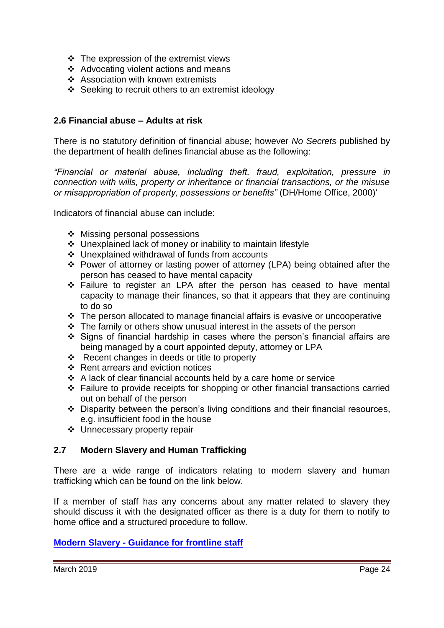- $\div$  The expression of the extremist views
- \* Advocating violent actions and means
- ❖ Association with known extremists
- $\div$  Seeking to recruit others to an extremist ideology

#### **2.6 Financial abuse – Adults at risk**

There is no statutory definition of financial abuse; however *No Secrets* published by the department of health defines financial abuse as the following:

*"Financial or material abuse, including theft, fraud, exploitation, pressure in connection with wills, property or inheritance or financial transactions, or the misuse or misappropriation of property, possessions or benefits"* (DH/Home Office, 2000)'

Indicators of financial abuse can include:

- ❖ Missing personal possessions
- Unexplained lack of money or inability to maintain lifestyle
- Unexplained withdrawal of funds from accounts
- Power of attorney or lasting power of attorney (LPA) being obtained after the person has ceased to have mental capacity
- Failure to register an LPA after the person has ceased to have mental capacity to manage their finances, so that it appears that they are continuing to do so
- $\div$  The person allocated to manage financial affairs is evasive or uncooperative
- The family or others show unusual interest in the assets of the person
- Signs of financial hardship in cases where the person's financial affairs are being managed by a court appointed deputy, attorney or LPA
- Recent changes in deeds or title to property
- $\div$  Rent arrears and eviction notices
- A lack of clear financial accounts held by a care home or service
- Failure to provide receipts for shopping or other financial transactions carried out on behalf of the person
- Disparity between the person's living conditions and their financial resources, e.g. insufficient food in the house
- Unnecessary property repair

### **2.7 Modern Slavery and Human Trafficking**

There are a wide range of indicators relating to modern slavery and human trafficking which can be found on the link below.

If a member of staff has any concerns about any matter related to slavery they should discuss it with the designated officer as there is a duty for them to notify to home office and a structured procedure to follow.

### **Modern Slavery - [Guidance for frontline staff](https://www.gov.uk/government/publications/victims-of-human-trafficking)**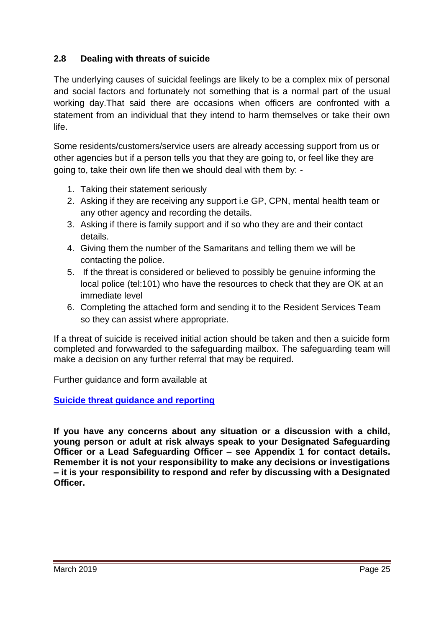### **2.8 Dealing with threats of suicide**

The underlying causes of suicidal feelings are likely to be a complex mix of personal and social factors and fortunately not something that is a normal part of the usual working day.That said there are occasions when officers are confronted with a statement from an individual that they intend to harm themselves or take their own life.

Some residents/customers/service users are already accessing support from us or other agencies but if a person tells you that they are going to, or feel like they are going to, take their own life then we should deal with them by: -

- 1. Taking their statement seriously
- 2. Asking if they are receiving any support i.e GP, CPN, mental health team or any other agency and recording the details.
- 3. Asking if there is family support and if so who they are and their contact details.
- 4. Giving them the number of the Samaritans and telling them we will be contacting the police.
- 5. If the threat is considered or believed to possibly be genuine informing the local police (tel:101) who have the resources to check that they are OK at an immediate level
- 6. Completing the attached form and sending it to the Resident Services Team so they can assist where appropriate.

If a threat of suicide is received initial action should be taken and then a suicide form completed and forwwarded to the safeguarding mailbox. The safeguarding team will make a decision on any further referral that may be required.

Further guidance and form available at

**[Suicide threat guidance and reporting](http://dennis/Docs/Documents/Forms/AllItems.aspx?RootFolder=%2FDocs%2FDocuments%2FHealth%20and%20Wellbeing%2FMental%20Health%20First%20Aid%20%28MHFA%29%2FSuicide%20Guidance%20Notes&FolderCTID=0x012000C990015FAD2BBD4D8D6DBCF9CAE03911&View=%7B8E3311E3%2D1A55%2D48AE%2D91C5%2DF86E41D6816D%7D&InitialTabId=Ribbon%2EDocument&VisibilityContext=WSSTabPersistence)**

**If you have any concerns about any situation or a discussion with a child, young person or adult at risk always speak to your Designated Safeguarding Officer or a Lead Safeguarding Officer – see Appendix 1 for contact details. Remember it is not your responsibility to make any decisions or investigations – it is your responsibility to respond and refer by discussing with a Designated Officer.**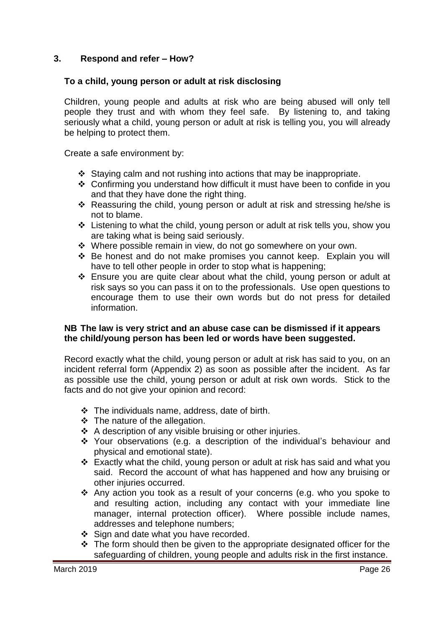### **3. Respond and refer – How?**

#### **To a child, young person or adult at risk disclosing**

Children, young people and adults at risk who are being abused will only tell people they trust and with whom they feel safe. By listening to, and taking seriously what a child, young person or adult at risk is telling you, you will already be helping to protect them.

Create a safe environment by:

- $\div$  Staying calm and not rushing into actions that may be inappropriate.
- \* Confirming you understand how difficult it must have been to confide in you and that they have done the right thing.
- \* Reassuring the child, young person or adult at risk and stressing he/she is not to blame.
- Listening to what the child, young person or adult at risk tells you, show you are taking what is being said seriously.
- Where possible remain in view, do not go somewhere on your own.
- Be honest and do not make promises you cannot keep. Explain you will have to tell other people in order to stop what is happening;
- Ensure you are quite clear about what the child, young person or adult at risk says so you can pass it on to the professionals. Use open questions to encourage them to use their own words but do not press for detailed information.

#### **NB The law is very strict and an abuse case can be dismissed if it appears the child/young person has been led or words have been suggested.**

Record exactly what the child, young person or adult at risk has said to you, on an incident referral form (Appendix 2) as soon as possible after the incident. As far as possible use the child, young person or adult at risk own words. Stick to the facts and do not give your opinion and record:

- The individuals name, address, date of birth.
- $\div$  The nature of the allegation.
- $\div$  A description of any visible bruising or other injuries.
- Your observations (e.g. a description of the individual's behaviour and physical and emotional state).
- Exactly what the child, young person or adult at risk has said and what you said. Record the account of what has happened and how any bruising or other injuries occurred.
- Any action you took as a result of your concerns (e.g. who you spoke to and resulting action, including any contact with your immediate line manager, internal protection officer). Where possible include names, addresses and telephone numbers;
- Sign and date what you have recorded.
- $\div$  The form should then be given to the appropriate designated officer for the safeguarding of children, young people and adults risk in the first instance.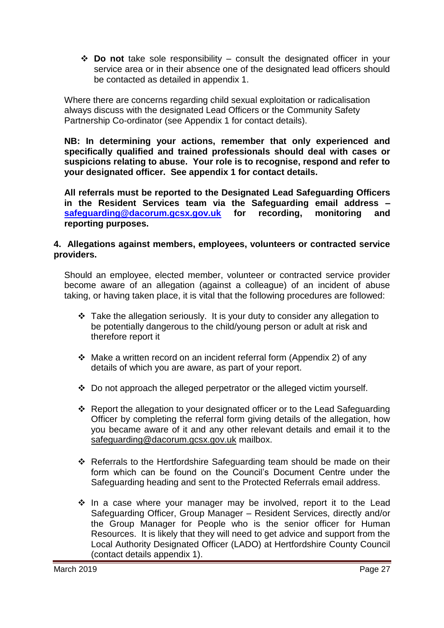**Do not** take sole responsibility – consult the designated officer in your service area or in their absence one of the designated lead officers should be contacted as detailed in appendix 1.

Where there are concerns regarding child sexual exploitation or radicalisation always discuss with the designated Lead Officers or the Community Safety Partnership Co-ordinator (see Appendix 1 for contact details).

**NB: In determining your actions, remember that only experienced and specifically qualified and trained professionals should deal with cases or suspicions relating to abuse. Your role is to recognise, respond and refer to your designated officer. See appendix 1 for contact details.**

**All referrals must be reported to the Designated Lead Safeguarding Officers in the Resident Services team via the Safeguarding email address – [safeguarding@dacorum.gcsx.gov.uk](mailto:safeguarding@dacorum.gcsx.gov.uk) for recording, monitoring and reporting purposes.**

#### **4. Allegations against members, employees, volunteers or contracted service providers.**

Should an employee, elected member, volunteer or contracted service provider become aware of an allegation (against a colleague) of an incident of abuse taking, or having taken place, it is vital that the following procedures are followed:

- $\cdot$  Take the allegation seriously. It is your duty to consider any allegation to be potentially dangerous to the child/young person or adult at risk and therefore report it
- $\div$  Make a written record on an incident referral form (Appendix 2) of any details of which you are aware, as part of your report.
- $\div$  Do not approach the alleged perpetrator or the alleged victim yourself.
- Report the allegation to your designated officer or to the Lead Safeguarding Officer by completing the referral form giving details of the allegation, how you became aware of it and any other relevant details and email it to the [safeguarding@dacorum.gcsx.gov.uk](mailto:safeguarding@dacorum.gcsx.gov.uk) mailbox.
- Referrals to the Hertfordshire Safeguarding team should be made on their form which can be found on the Council's Document Centre under the Safeguarding heading and sent to the Protected Referrals email address.
- $\cdot$  In a case where your manager may be involved, report it to the Lead Safeguarding Officer, Group Manager – Resident Services, directly and/or the Group Manager for People who is the senior officer for Human Resources. It is likely that they will need to get advice and support from the Local Authority Designated Officer (LADO) at Hertfordshire County Council (contact details appendix 1).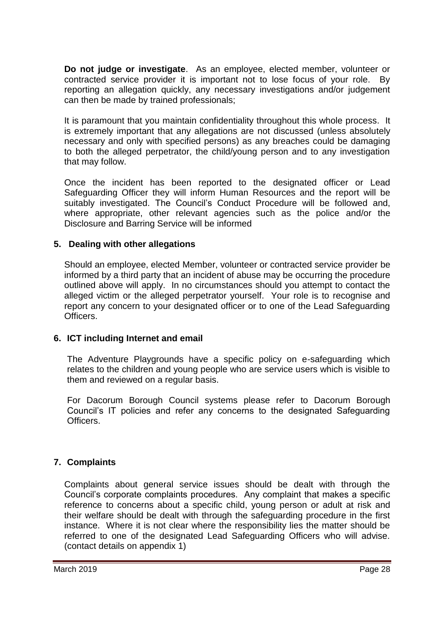**Do not judge or investigate**. As an employee, elected member, volunteer or contracted service provider it is important not to lose focus of your role. By reporting an allegation quickly, any necessary investigations and/or judgement can then be made by trained professionals;

It is paramount that you maintain confidentiality throughout this whole process. It is extremely important that any allegations are not discussed (unless absolutely necessary and only with specified persons) as any breaches could be damaging to both the alleged perpetrator, the child/young person and to any investigation that may follow.

Once the incident has been reported to the designated officer or Lead Safeguarding Officer they will inform Human Resources and the report will be suitably investigated. The Council's Conduct Procedure will be followed and, where appropriate, other relevant agencies such as the police and/or the Disclosure and Barring Service will be informed

### **5. Dealing with other allegations**

Should an employee, elected Member, volunteer or contracted service provider be informed by a third party that an incident of abuse may be occurring the procedure outlined above will apply. In no circumstances should you attempt to contact the alleged victim or the alleged perpetrator yourself. Your role is to recognise and report any concern to your designated officer or to one of the Lead Safeguarding Officers.

### **6. ICT including Internet and email**

The Adventure Playgrounds have a specific policy on e-safeguarding which relates to the children and young people who are service users which is visible to them and reviewed on a regular basis.

For Dacorum Borough Council systems please refer to Dacorum Borough Council's IT policies and refer any concerns to the designated Safeguarding Officers.

### **7. Complaints**

Complaints about general service issues should be dealt with through the Council's corporate complaints procedures. Any complaint that makes a specific reference to concerns about a specific child, young person or adult at risk and their welfare should be dealt with through the safeguarding procedure in the first instance. Where it is not clear where the responsibility lies the matter should be referred to one of the designated Lead Safeguarding Officers who will advise. (contact details on appendix 1)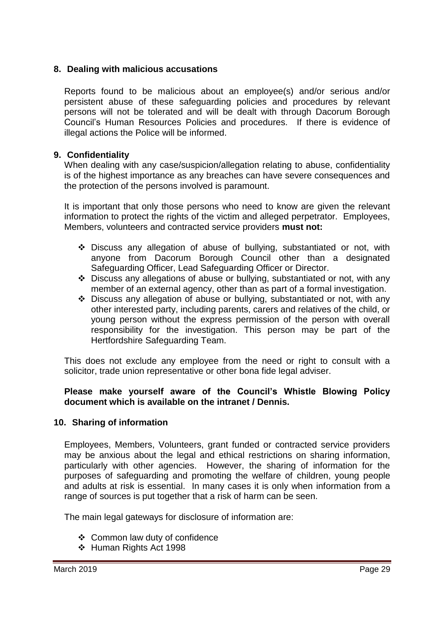#### **8. Dealing with malicious accusations**

Reports found to be malicious about an employee(s) and/or serious and/or persistent abuse of these safeguarding policies and procedures by relevant persons will not be tolerated and will be dealt with through Dacorum Borough Council's Human Resources Policies and procedures. If there is evidence of illegal actions the Police will be informed.

#### **9. Confidentiality**

When dealing with any case/suspicion/allegation relating to abuse, confidentiality is of the highest importance as any breaches can have severe consequences and the protection of the persons involved is paramount.

It is important that only those persons who need to know are given the relevant information to protect the rights of the victim and alleged perpetrator. Employees, Members, volunteers and contracted service providers **must not:**

- Discuss any allegation of abuse of bullying, substantiated or not, with anyone from Dacorum Borough Council other than a designated Safeguarding Officer, Lead Safeguarding Officer or Director.
- Discuss any allegations of abuse or bullying, substantiated or not, with any member of an external agency, other than as part of a formal investigation.
- Discuss any allegation of abuse or bullying, substantiated or not, with any other interested party, including parents, carers and relatives of the child, or young person without the express permission of the person with overall responsibility for the investigation. This person may be part of the Hertfordshire Safeguarding Team.

This does not exclude any employee from the need or right to consult with a solicitor, trade union representative or other bona fide legal adviser.

#### **Please make yourself aware of the Council's Whistle Blowing Policy document which is available on the intranet / Dennis.**

#### **10. Sharing of information**

Employees, Members, Volunteers, grant funded or contracted service providers may be anxious about the legal and ethical restrictions on sharing information, particularly with other agencies. However, the sharing of information for the purposes of safeguarding and promoting the welfare of children, young people and adults at risk is essential. In many cases it is only when information from a range of sources is put together that a risk of harm can be seen.

The main legal gateways for disclosure of information are:

- Common law duty of confidence
- Human Rights Act 1998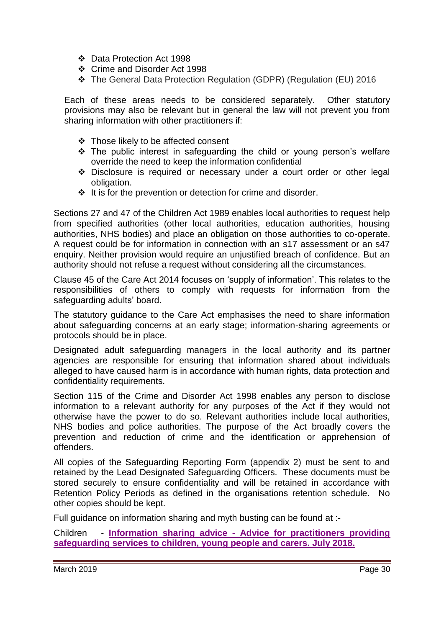- Data Protection Act 1998
- Crime and Disorder Act 1998
- The General Data Protection Regulation (GDPR) (Regulation (EU) 2016

Each of these areas needs to be considered separately. Other statutory provisions may also be relevant but in general the law will not prevent you from sharing information with other practitioners if:

- $\div$  Those likely to be affected consent
- The public interest in safeguarding the child or young person's welfare override the need to keep the information confidential
- Disclosure is required or necessary under a court order or other legal obligation.
- $\div$  It is for the prevention or detection for crime and disorder.

Sections 27 and 47 of the Children Act 1989 enables local authorities to request help from specified authorities (other local authorities, education authorities, housing authorities, NHS bodies) and place an obligation on those authorities to co-operate. A request could be for information in connection with an s17 assessment or an s47 enquiry. Neither provision would require an unjustified breach of confidence. But an authority should not refuse a request without considering all the circumstances.

Clause 45 of the Care Act 2014 focuses on 'supply of information'. This relates to the responsibilities of others to comply with requests for information from the safeguarding adults' board.

The statutory guidance to the Care Act emphasises the need to share information about safeguarding concerns at an early stage; information-sharing agreements or protocols should be in place.

Designated adult safeguarding managers in the local authority and its partner agencies are responsible for ensuring that information shared about individuals alleged to have caused harm is in accordance with human rights, data protection and confidentiality requirements.

Section 115 of the Crime and Disorder Act 1998 enables any person to disclose information to a relevant authority for any purposes of the Act if they would not otherwise have the power to do so. Relevant authorities include local authorities, NHS bodies and police authorities. The purpose of the Act broadly covers the prevention and reduction of crime and the identification or apprehension of offenders.

All copies of the Safeguarding Reporting Form (appendix 2) must be sent to and retained by the Lead Designated Safeguarding Officers. These documents must be stored securely to ensure confidentiality and will be retained in accordance with Retention Policy Periods as defined in the organisations retention schedule. No other copies should be kept.

Full guidance on information sharing and myth busting can be found at :-

Children - **Information sharing advice - [Advice for practitioners providing](https://assets.publishing.service.gov.uk/government/uploads/system/uploads/attachment_data/file/721581/Information_sharing_advice_practitioners_safeguarding_services.pdf)  [safeguarding services to children, young people and carers. July 2018.](https://assets.publishing.service.gov.uk/government/uploads/system/uploads/attachment_data/file/721581/Information_sharing_advice_practitioners_safeguarding_services.pdf)**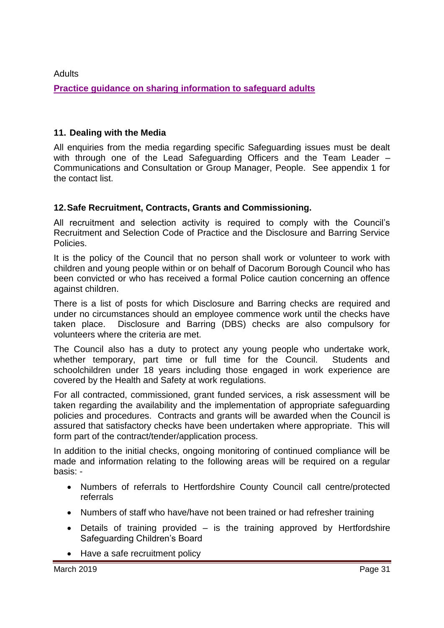## **Adults [Practice guidance on sharing information to safeguard adults](https://www.scie.org.uk/safeguarding/adults/practice/sharing-information)**

### **11. Dealing with the Media**

All enquiries from the media regarding specific Safeguarding issues must be dealt with through one of the Lead Safeguarding Officers and the Team Leader -Communications and Consultation or Group Manager, People. See appendix 1 for the contact list.

### **12.Safe Recruitment, Contracts, Grants and Commissioning.**

All recruitment and selection activity is required to comply with the Council's Recruitment and Selection Code of Practice and the Disclosure and Barring Service **Policies** 

It is the policy of the Council that no person shall work or volunteer to work with children and young people within or on behalf of Dacorum Borough Council who has been convicted or who has received a formal Police caution concerning an offence against children.

There is a list of posts for which Disclosure and Barring checks are required and under no circumstances should an employee commence work until the checks have taken place. Disclosure and Barring (DBS) checks are also compulsory for volunteers where the criteria are met.

The Council also has a duty to protect any young people who undertake work, whether temporary, part time or full time for the Council. Students and schoolchildren under 18 years including those engaged in work experience are covered by the Health and Safety at work regulations.

For all contracted, commissioned, grant funded services, a risk assessment will be taken regarding the availability and the implementation of appropriate safeguarding policies and procedures. Contracts and grants will be awarded when the Council is assured that satisfactory checks have been undertaken where appropriate. This will form part of the contract/tender/application process.

In addition to the initial checks, ongoing monitoring of continued compliance will be made and information relating to the following areas will be required on a regular basis: -

- Numbers of referrals to Hertfordshire County Council call centre/protected referrals
- Numbers of staff who have/have not been trained or had refresher training
- Details of training provided is the training approved by Hertfordshire Safeguarding Children's Board
- Have a safe recruitment policy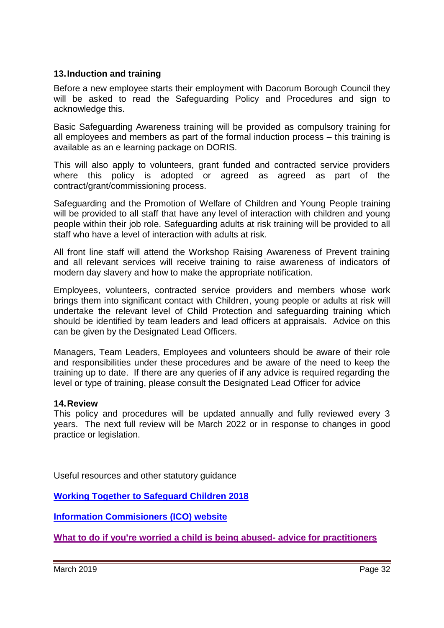### **13.Induction and training**

Before a new employee starts their employment with Dacorum Borough Council they will be asked to read the Safeguarding Policy and Procedures and sign to acknowledge this.

Basic Safeguarding Awareness training will be provided as compulsory training for all employees and members as part of the formal induction process – this training is available as an e learning package on DORIS.

This will also apply to volunteers, grant funded and contracted service providers where this policy is adopted or agreed as agreed as part of the contract/grant/commissioning process.

Safeguarding and the Promotion of Welfare of Children and Young People training will be provided to all staff that have any level of interaction with children and young people within their job role. Safeguarding adults at risk training will be provided to all staff who have a level of interaction with adults at risk.

All front line staff will attend the Workshop Raising Awareness of Prevent training and all relevant services will receive training to raise awareness of indicators of modern day slavery and how to make the appropriate notification.

Employees, volunteers, contracted service providers and members whose work brings them into significant contact with Children, young people or adults at risk will undertake the relevant level of Child Protection and safeguarding training which should be identified by team leaders and lead officers at appraisals. Advice on this can be given by the Designated Lead Officers.

Managers, Team Leaders, Employees and volunteers should be aware of their role and responsibilities under these procedures and be aware of the need to keep the training up to date. If there are any queries of if any advice is required regarding the level or type of training, please consult the Designated Lead Officer for advice

#### **14.Review**

This policy and procedures will be updated annually and fully reviewed every 3 years. The next full review will be March 2022 or in response to changes in good practice or legislation.

Useful resources and other statutory guidance

**[Working Together to Safeguard Children 2018](https://www.gov.uk/government/publications/working-together-to-safeguard-children--2)**

**[Information Commisioners \(ICO\) website](https://ico.org.uk/)**

**[What to do if you're worried a child is being abused-](https://www.gov.uk/government/publications/what-to-do-if-youre-worried-a-child-is-being-abused--2) advice for practitioners**